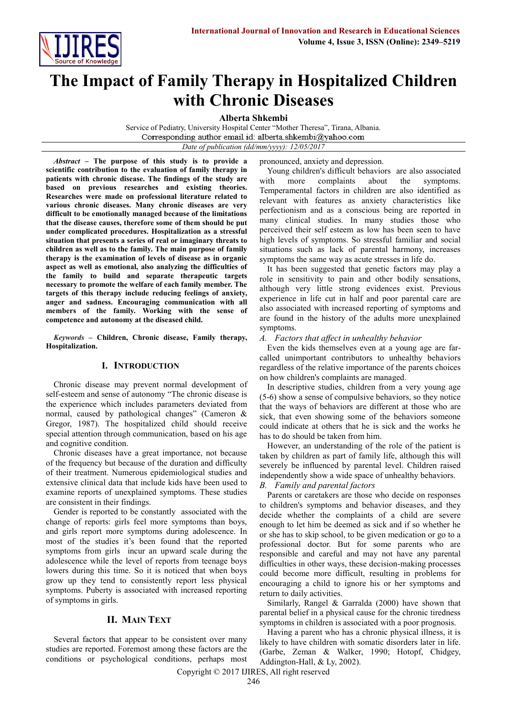

# **The Impact of Family Therapy in Hospitalized Children with Chronic Diseases**

**Alberta Shkembi**

Service of Pediatry, University Hospital Center "Mother Theresa", Tirana, Albania. Corresponding author email id: alberta.shkembi@yahoo.com *Date of publication (dd/mm/yyyy): 12/05/2017*

pronounced, anxiety and depression.

*Abstract* **– The purpose of this study is to provide a scientific contribution to the evaluation of family therapy in patients with chronic disease. The findings of the study are based on previous researches and existing theories. Researches were made on professional literature related to various chronic diseases. Many chronic diseases are very difficult to be emotionally managed because of the limitations that the disease causes, therefore some of them should be put under complicated procedures. Hospitalization as a stressful situation that presents a series of real or imaginary threats to children as well as to the family. The main purpose of family therapy is the examination of levels of disease as in organic aspect as well as emotional, also analyzing the difficulties of the family to build and separate therapeutic targets necessary to promote the welfare of each family member. The targets of this therapy include reducing feelings of anxiety, anger and sadness. Encouraging communication with all members of the family. Working with the sense of competence and autonomy at the diseased child.**

*Keywords* **– Children, Chronic disease, Family therapy, Hospitalization.**

# **I. INTRODUCTION**

Chronic disease may prevent normal development of self-esteem and sense of autonomy "The chronic disease is the experience which includes parameters deviated from normal, caused by pathological changes" (Cameron & Gregor, 1987). The hospitalized child should receive special attention through communication, based on his age and cognitive condition.

Chronic diseases have a great importance, not because of the frequency but because of the duration and difficulty of their treatment. Numerous epidemiological studies and extensive clinical data that include kids have been used to examine reports of unexplained symptoms. These studies are consistent in their findings.

Gender is reported to be constantly associated with the change of reports: girls feel more symptoms than boys, and girls report more symptoms during adolescence. In most of the studies it's been found that the reported symptoms from girls incur an upward scale during the adolescence while the level of reports from teenage boys lowers during this time. So it is noticed that when boys grow up they tend to consistently report less physical symptoms. Puberty is associated with increased reporting of symptoms in girls.

# **II. MAIN TEXT**

Several factors that appear to be consistent over many studies are reported. Foremost among these factors are the conditions or psychological conditions, perhaps most

Young children's difficult behaviors are also associated with more complaints about the symptoms. Temperamental factors in children are also identified as relevant with features as anxiety characteristics like perfectionism and as a conscious being are reported in many clinical studies. In many studies those who perceived their self esteem as low has been seen to have high levels of symptoms. So stressful familiar and social situations such as lack of parental harmony, increases symptoms the same way as acute stresses in life do.

It has been suggested that genetic factors may play a role in sensitivity to pain and other bodily sensations, although very little strong evidences exist. Previous experience in life cut in half and poor parental care are also associated with increased reporting of symptoms and are found in the history of the adults more unexplained symptoms.

#### *A. Factors that affect in unhealthy behavior*

Even the kids themselves even at a young age are farcalled unimportant contributors to unhealthy behaviors regardless of the relative importance of the parents choices on how children's complaints are managed.

In descriptive studies, children from a very young age (5-6) show a sense of compulsive behaviors, so they notice that the ways of behaviors are different at those who are sick, that even showing some of the behaviors someone could indicate at others that he is sick and the works he has to do should be taken from him.

However, an understanding of the role of the patient is taken by children as part of family life, although this will severely be influenced by parental level. Children raised independently show a wide space of unhealthy behaviors.

#### *B. Family and parental factors*

Parents or caretakers are those who decide on responses to children's symptoms and behavior diseases, and they decide whether the complaints of a child are severe enough to let him be deemed as sick and if so whether he or she has to skip school, to be given medication or go to a professional doctor. But for some parents who are responsible and careful and may not have any parental difficulties in other ways, these decision-making processes could become more difficult, resulting in problems for encouraging a child to ignore his or her symptoms and return to daily activities.

Similarly, Rangel & Garralda (2000) have shown that parental belief in a physical cause for the chronic tiredness symptoms in children is associated with a poor prognosis.

Having a parent who has a chronic physical illness, it is likely to have children with somatic disorders later in life. (Garbe, Zeman & Walker, 1990; Hotopf, Chidgey, Addington-Hall, & Ly, 2002).

Copyright © 2017 IJIRES, All right reserved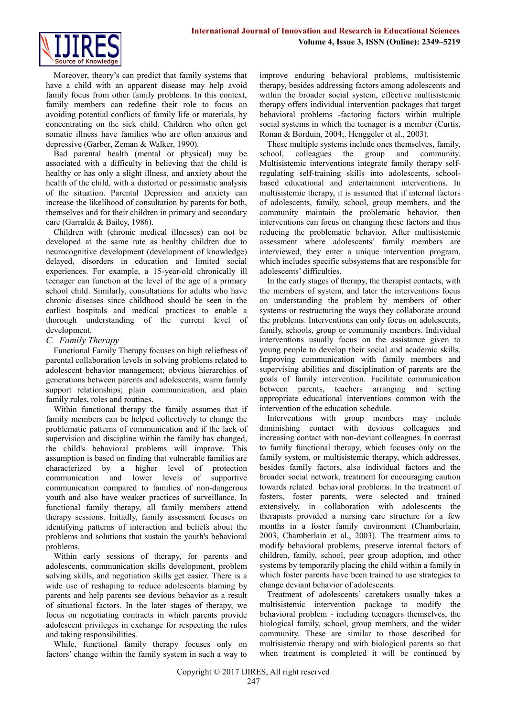

Moreover, theory's can predict that family systems that have a child with an apparent disease may help avoid family focus from other family problems. In this context, family members can redefine their role to focus on avoiding potential conflicts of family life or materials, by concentrating on the sick child. Children who often get somatic illness have families who are often anxious and depressive (Garber, Zeman & Walker, 1990).

Bad parental health (mental or physical) may be associated with a difficulty in believing that the child is healthy or has only a slight illness, and anxiety about the health of the child, with a distorted or pessimistic analysis of the situation. Parental Depression and anxiety can increase the likelihood of consultation by parents for both, themselves and for their children in primary and secondary care (Garralda & Bailey, 1986).

Children with (chronic medical illnesses) can not be developed at the same rate as healthy children due to neurocognitive development (development of knowledge) delayed, disorders in education and limited social experiences. For example, a 15-year-old chronically ill teenager can function at the level of the age of a primary school child. Similarly, consultations for adults who have chronic diseases since childhood should be seen in the earliest hospitals and medical practices to enable a thorough understanding of the current level of development.

#### *C. Family Therapy*

Functional Family Therapy focuses on high reliefness of parental collaboration levels in solving problems related to adolescent behavior management; obvious hierarchies of generations between parents and adolescents, warm family support relationships; plain communication, and plain family rules, roles and routines.

Within functional therapy the family assumes that if family members can be helped collectively to change the problematic patterns of communication and if the lack of supervision and discipline within the family has changed, the child's behavioral problems will improve. This assumption is based on finding that vulnerable families are characterized by a higher level of protection communication and lower levels of supportive communication compared to families of non-dangerous youth and also have weaker practices of surveillance. In functional family therapy, all family members attend therapy sessions. Initially, family assessment focuses on identifying patterns of interaction and beliefs about the problems and solutions that sustain the youth's behavioral problems.

Within early sessions of therapy, for parents and adolescents, communication skills development, problem solving skills, and negotiation skills get easier. There is a wide use of reshaping to reduce adolescents blaming by parents and help parents see devious behavior as a result of situational factors. In the later stages of therapy, we focus on negotiating contracts in which parents provide adolescent privileges in exchange for respecting the rules and taking responsibilities.

While, functional family therapy focuses only on factors' change within the family system in such a way to

improve enduring behavioral problems, multisistemic therapy, besides addressing factors among adolescents and within the broader social system, effective multisistemic therapy offers individual intervention packages that target behavioral problems -factoring factors within multiple social systems in which the teenager is a member (Curtis, Ronan & Borduin, 2004;. Henggeler et al., 2003).

These multiple systems include ones themselves, family, school, colleagues the group and community. Multisistemic interventions integrate family therapy selfregulating self-training skills into adolescents, schoolbased educational and entertainment interventions. In multisistemic therapy, it is assumed that if internal factors of adolescents, family, school, group members, and the community maintain the problematic behavior, then interventions can focus on changing these factors and thus reducing the problematic behavior. After multisistemic assessment where adolescents' family members are interviewed, they enter a unique intervention program, which includes specific subsystems that are responsible for adolescents' difficulties.

In the early stages of therapy, the therapist contacts, with the members of system, and later the interventions focus on understanding the problem by members of other systems or restructuring the ways they collaborate around the problems. Interventions can only focus on adolescents, family, schools, group or community members. Individual interventions usually focus on the assistance given to young people to develop their social and academic skills. Improving communication with family members and supervising abilities and disciplination of parents are the goals of family intervention. Facilitate communication between parents, teachers arranging and setting appropriate educational interventions common with the intervention of the education schedule.

Interventions with group members may include diminishing contact with devious colleagues and increasing contact with non-deviant colleagues. In contrast to family functional therapy, which focuses only on the family system, or multisistemic therapy, which addresses, besides family factors, also individual factors and the broader social network, treatment for encouraging caution towards related behavioral problems. In the treatment of fosters, foster parents, were selected and trained extensively, in collaboration with adolescents the therapists provided a nursing care structure for a few months in a foster family environment (Chamberlain, 2003, Chamberlain et al., 2003). The treatment aims to modify behavioral problems, preserve internal factors of children, family, school, peer group adoption, and other systems by temporarily placing the child within a family in which foster parents have been trained to use strategies to change deviant behavior of adolescents.

Treatment of adolescents' caretakers usually takes a multisistemic intervention package to modify the behavioral problem - including teenagers themselves, the biological family, school, group members, and the wider community. These are similar to those described for multisistemic therapy and with biological parents so that when treatment is completed it will be continued by